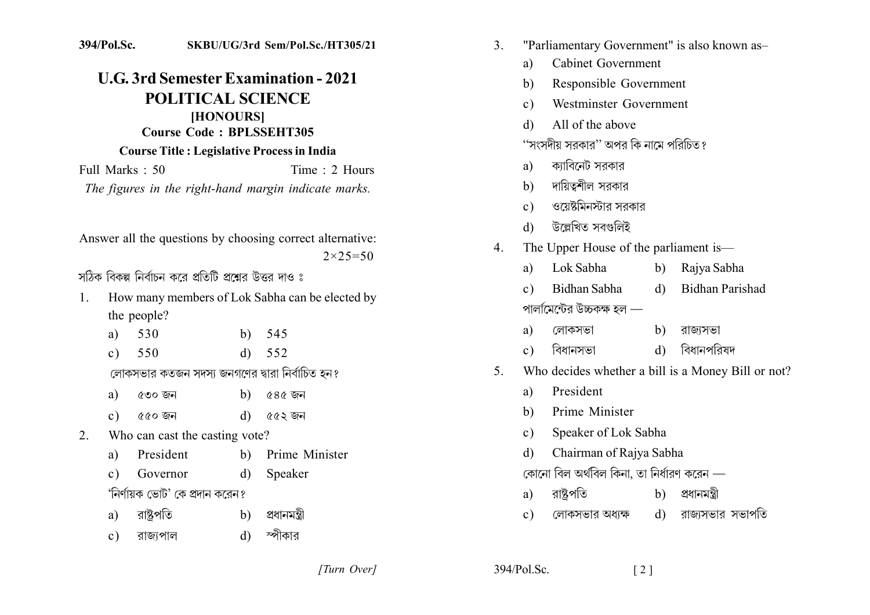## 394/Pol.Sc. SKBU/UG/3rd Sem/Pol.Sc./HT305/21

## **U.G. 3rd Semester Examination - 2021 POLITICAL SCIENCE** [HONOURS] Course Code: BPLSSEHT305 **Course Title: Legislative Process in India**

Full Marks : 50 Time  $\cdot$  2 Hours The figures in the right-hand margin indicate marks.

Answer all the questions by choosing correct alternative:  $2 \times 25 = 50$ 

সঠিক বিকল্প নির্বাচন করে প্রতিটি প্রশ্নের উত্তর দাও ঃ

- How many members of Lok Sabha can be elected by  $1$ the people?
	- 530 b)  $545$ a)
	- 552 550  $\mathbf{d}$  $c)$

লোকসভার কতজন সদস্য জনগণের দ্বারা নির্বাচিত হন?

- ৫৪৫ জন a) ৫৩০ জন  $\mathbf{b}$
- $\alpha$ েত জন ৫৫২ জন  $\mathbf{d}$  $c)$
- Who can cast the casting vote?  $2^{\circ}$ 
	- Prime Minister President  $b)$ a)
	- Governor  $d)$ Speaker  $c)$

'নির্ণায়ক ভোট' কে প্রদান করেন ?

- রাষ্ট্রপতি প্ৰধানমন্ত্ৰী a)  $b)$
- স্পীকার  $d)$ রাজ্যপাল  $\mathbf{c}$ )
- "Parliamentary Government" is also known as- $\overline{3}$ 
	- **Cabinet Government** a)
	- Responsible Government  $h)$
	- Westminster Government  $c)$
	- All of the above  $\mathcal{A}$
	- ''সংসদীয় সরকার'' অপর কি নামে পরিচিত ?
	- ক্যাবিনেট সরকার a)
	- দায়িত্বশীল সরকার  $h)$
	- ওয়েষ্টমিনস্টার সরকার  $c)$
	- উল্লেখিত সবগুলিই  $\mathbf{d}$
- The Upper House of the parliament is—  $\overline{4}$ 
	- Lok Sabha Rajya Sabha  $b)$ a)
	- **Bidhan Parishad** Bidhan Sabha  $\mathbf{d}$  $c)$ পালামেন্টের উচ্চকক্ষ হল —
	- লোকসভা  $b)$ রাজ্যসভা a)
	- বিধানপবিষদ বিধানসভা  $\mathbf{d}$  $c)$
- Who decides whether a bill is a Money Bill or not?  $5<sup>7</sup>$ 
	- President  $a)$
	- Prime Minister h)
	- Speaker of Lok Sabha  $\mathbf{c}$ )
	- Chairman of Rajya Sabha d)
	- কোনো বিল অৰ্থবিল কিনা, তা নিৰ্ধারণ করেন —
	- রাষ্টপতি প্ৰধানমন্ত্ৰী  $h)$ a)
	- লোকসভার অধ্যক্ষ d) রাজ্যসভার সভাপতি  $c)$

[Turn Over]

 $394/P<sub>o</sub>1$  Sc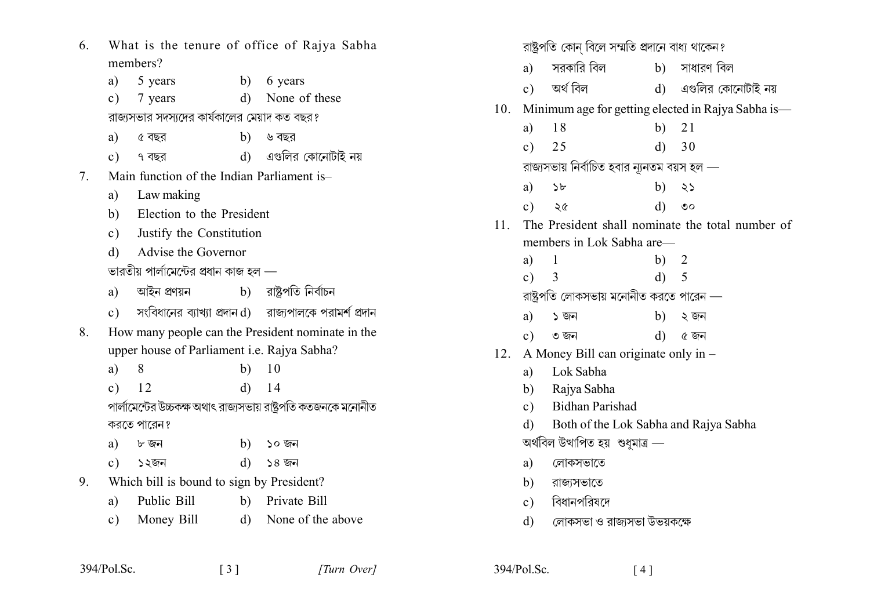| 6. | What is the tenure of office of Rajya Sabha |                                                      |              |                                                                                 |
|----|---------------------------------------------|------------------------------------------------------|--------------|---------------------------------------------------------------------------------|
|    | members?                                    |                                                      |              |                                                                                 |
|    | a)                                          | 5 years                                              |              | b) 6 years                                                                      |
|    | $\circ$ )                                   | 7 years                                              | $\rm d)$     | None of these                                                                   |
|    |                                             | রাজ্যসভার সদস্যদের কার্যকালের মেয়াদ কত বছর?         |              |                                                                                 |
|    |                                             | a) ৫ বছর                                             |              | b) ৬ বছর                                                                        |
|    |                                             | $c)$ ৭ বছর                                           |              | d) এগুলির কোনোটাই নয়                                                           |
| 7. |                                             | Main function of the Indian Parliament is-           |              |                                                                                 |
|    | a)                                          | Law making                                           |              |                                                                                 |
|    |                                             | b) Election to the President                         |              |                                                                                 |
|    |                                             | c) Justify the Constitution                          |              |                                                                                 |
|    | $\mathbf{d}$                                | Advise the Governor                                  |              |                                                                                 |
|    |                                             | ভারতীয় পার্লামেন্টের প্রধান কাজ হল —                |              |                                                                                 |
|    |                                             | a) আইন প্ৰণয়ন             b)    রাষ্ট্রপতি নির্বাচন |              |                                                                                 |
|    |                                             |                                                      |              | $\mathbf c$ ) সংবিধানের ব্যাখ্যা প্রদান $\mathbf d$ ) রাজ্যপালকে পরামর্শ প্রদান |
| 8. |                                             |                                                      |              | How many people can the President nominate in the                               |
|    |                                             | upper house of Parliament <i>i.e.</i> Rajya Sabha?   |              |                                                                                 |
|    | a)                                          | 8                                                    | b)           | 10                                                                              |
|    | $\circ$ )                                   | 12                                                   | $\rm d)$     | 14                                                                              |
|    |                                             |                                                      |              | পার্লামেন্টের উচ্চকক্ষ অথাৎ রাজ্যসভায় রাষ্ট্রপতি কতজনকে মনোনীত                 |
|    |                                             | করতে পারেন?                                          |              |                                                                                 |
|    | a)                                          | ৮ জন                                                 |              | b) ১০ জন                                                                        |
|    |                                             | c) ১২জন                                              |              | d) ১৪ জন                                                                        |
| 9. |                                             | Which bill is bound to sign by President?            |              |                                                                                 |
|    |                                             | a) Public Bill                                       |              | b) Private Bill                                                                 |
|    |                                             | c) Money Bill                                        | $\mathbf{d}$ | None of the above                                                               |
|    |                                             |                                                      |              |                                                                                 |

 $[3]$ 

|     | রাষ্ট্রপতি কোন্ বিলে সম্মতি প্রদানে বাধ্য থাকেন? |                                             |              |                                                    |
|-----|--------------------------------------------------|---------------------------------------------|--------------|----------------------------------------------------|
|     | a)                                               | সরকারি বিল                                  |              | b) সাধারণ বিল                                      |
|     |                                                  | c) অৰ্থ বিল                                 |              | d) এগুলির কোনোটাই নয়                              |
| 10. |                                                  |                                             |              | Minimum age for getting elected in Rajya Sabha is- |
|     | a)                                               | 18                                          |              | b) $21$                                            |
|     | c) $25$                                          |                                             |              | d) 30                                              |
|     |                                                  | রাজ্যসভায় নির্বাচিত হবার ন্যূনতম বয়স হল — |              |                                                    |
|     | a)                                               | $\rightarrow b$                             | b)           | ২১                                                 |
|     | $\mathbf{c})$                                    | ২৫                                          | $\mathbf{d}$ | $\mathbf{O}$                                       |
| 11. |                                                  |                                             |              | The President shall nominate the total number of   |
|     |                                                  | members in Lok Sabha are-                   |              |                                                    |
|     | a)                                               | $\mathbf{1}$                                | b) $2$       |                                                    |
|     | c)                                               | 3                                           | d) 5         |                                                    |
|     |                                                  | রাষ্ট্রপতি লোকসভায় মনোনীত করতে পারেন —     |              |                                                    |
|     | a)                                               | ১ জন                                        |              | $b)$ ২ জন                                          |
|     | c)                                               | ৩ জন                                        |              | $d)$ ৫ জন                                          |
|     |                                                  | 12. A Money Bill can originate only in -    |              |                                                    |
|     | a)                                               | Lok Sabha                                   |              |                                                    |
|     |                                                  | b) Rajya Sabha                              |              |                                                    |
|     |                                                  | c) Bidhan Parishad                          |              |                                                    |
|     | $\mathbf{d}$                                     | Both of the Lok Sabha and Rajya Sabha       |              |                                                    |
|     |                                                  | অৰ্থবিল উত্থাপিত হয়  শুধুমাত্ৰ —           |              |                                                    |
|     | a)                                               | লোকসভাতে                                    |              |                                                    |
|     |                                                  | b) রাজ্যসভাতে                               |              |                                                    |
|     |                                                  | c) বিধানপরিষদে                              |              |                                                    |
|     | d)                                               | লোকসভা ও রাজ্যসভা উভয়কক্ষে                 |              |                                                    |

394/Pol.Sc.

394/Pol.Sc.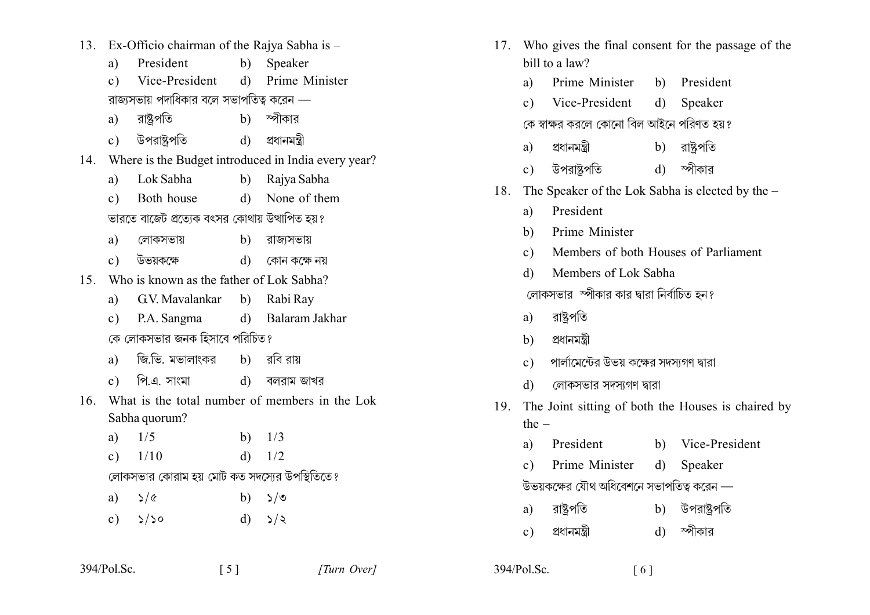- 13. Ex-Officio chairman of the Rajya Sabha is -
	- President b) Speaker a)
	- Vice-President d) Prime Minister  $c)$ রাজ্যসভায় পদাধিকার বলে সভাপতিত্ব করেন —
	- রাষ্ট্রপতি স্পীকার  $b)$ a)
	- উপরাষ্ট্রপতি d) প্রধানমন্ত্রী  $c)$
- 14. Where is the Budget introduced in India every year?
	- Lok Sabha b) Rajya Sabha a)
	- Both house d) None of them  $c)$ ভারতে বাজেট প্রত্যেক বৎসর কোথায় উত্থাপিত হয়?
	- লোকসভায়  $b)$ রাজ্যসভায় a)
	- $c)$ উভয়কক্ষে d) কোন কক্ষে নয়
- 15 Who is known as the father of Lok Sabha?
	- G.V. Mavalankar  $b)$ Rabi Ray a)
	- d) Balaram Jakhar c) P.A. Sangma কে লোকসভার জনক হিসাবে পরিচিত?
	- জি.ভি. মভালাংকর b) রবি রায়  $a)$
	- পি.এ. সাংমা  $d)$ বলরাম জাখর  $c)$
- 16 What is the total number of members in the Lok Sabha quorum?

| a) $1/5$                                    | b) $1/3$ |
|---------------------------------------------|----------|
| c) $1/10$                                   | d) $1/2$ |
| ক্ৰাক্ষালয়ে কোৰাম হয় যেটি কৰে মালয়েনে উঞ |          |

## লোকসভার কোরাম হয় মোট কত সদস্যের উপস্থিতিতে?

 $\begin{bmatrix} 5 \end{bmatrix}$ 

| a) $\sqrt[3]{\alpha}$ | b) $\sqrt{s}$ |
|-----------------------|---------------|
| c) $5/50$             | d) $\sqrt{2}$ |

| 17. |                                                    |                                             |  | Who gives the final consent for the passage of the |  |
|-----|----------------------------------------------------|---------------------------------------------|--|----------------------------------------------------|--|
|     |                                                    | bill to a law?                              |  |                                                    |  |
|     | a)                                                 | Prime Minister b) President                 |  |                                                    |  |
|     |                                                    | c) Vice-President d) Speaker                |  |                                                    |  |
|     |                                                    | কে স্বাক্ষর করলে কোনো বিল আইনে পরিণত হয়?   |  |                                                    |  |
|     |                                                    | a) প্রধানমন্ত্রী                            |  | b) রাষ্ট্রপতি                                      |  |
|     |                                                    | c) উপরাষ্ট্রপতি                             |  | d) স্পীকার                                         |  |
| 18. |                                                    |                                             |  | The Speaker of the Lok Sabha is elected by the –   |  |
|     | a)                                                 | President                                   |  |                                                    |  |
|     |                                                    | b) Prime Minister                           |  |                                                    |  |
|     |                                                    | c) Members of both Houses of Parliament     |  |                                                    |  |
|     | $\mathbf{d}$                                       | Members of Lok Sabha                        |  |                                                    |  |
|     | লোকসভার স্পীকার কার দ্বারা নির্বাচিত হন?           |                                             |  |                                                    |  |
|     |                                                    | a) রাষ্ট্রপতি                               |  |                                                    |  |
|     |                                                    | b) প্ৰধানমন্ত্ৰী                            |  |                                                    |  |
|     |                                                    | c) পার্লামেন্টের উভয় কক্ষের সদস্যগণ দ্বারা |  |                                                    |  |
|     | d)                                                 | লোকসভার সদস্যগণ দ্বারা                      |  |                                                    |  |
| 19. | The Joint sitting of both the Houses is chaired by |                                             |  |                                                    |  |
|     | the $-$                                            |                                             |  |                                                    |  |
|     |                                                    | a) President                                |  | b) Vice-President                                  |  |
|     |                                                    | a) Drima Minister d) Cneeker                |  |                                                    |  |

C) Prime Minister d) Speaker

উভয়কক্ষের যৌথ অধিবেশনে সভাপতিত্ব করেন —

- রাষ্টপতি উপরাষ্টপতি  $b)$ a)
- $d$ ) স্পীকার প্ৰধানমন্ত্ৰী  $c)$

| 394/Pol.Sc. |  |
|-------------|--|
|             |  |

 $394/P<sub>o</sub>l$ . Sc.